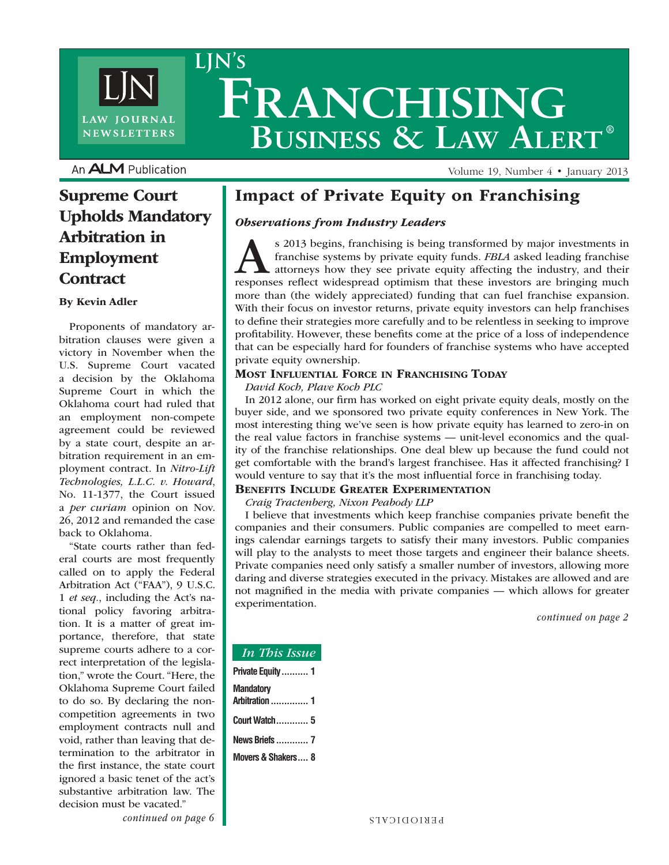

**LJN's**

**Franchising Business & Law Alert ®**

An **ALM** Publication

### Supreme Court Upholds Mandatory Arbitration in Employment **Contract**

#### By Kevin Adler

Proponents of mandatory arbitration clauses were given a victory in November when the U.S. Supreme Court vacated a decision by the Oklahoma Supreme Court in which the Oklahoma court had ruled that an employment non-compete agreement could be reviewed by a state court, despite an arbitration requirement in an employment contract. In *Nitro-Lift Technologies, L.L.C. v. Howard*, No. 11-1377, the Court issued a *per curiam* opinion on Nov. 26, 2012 and remanded the case back to Oklahoma.

"State courts rather than federal courts are most frequently called on to apply the Federal Arbitration Act ("FAA"), 9 U.S.C. 1 *et seq.*, including the Act's national policy favoring arbitration. It is a matter of great importance, therefore, that state supreme courts adhere to a correct interpretation of the legislation," wrote the Court. "Here, the Oklahoma Supreme Court failed to do so. By declaring the noncompetition agreements in two employment contracts null and void, rather than leaving that determination to the arbitrator in the first instance, the state court ignored a basic tenet of the act's substantive arbitration law. The decision must be vacated."

### Impact of Private Equity on Franchising

#### *Observations from Industry Leaders*

s 2013 begins, franchising is being transformed by major investments in franchise systems by private equity funds. *FBLA* asked leading franchise attorneys how they see private equity affecting the industry, and their resp franchise systems by private equity funds. *FBLA* asked leading franchise attorneys how they see private equity affecting the industry, and their responses reflect widespread optimism that these investors are bringing much more than (the widely appreciated) funding that can fuel franchise expansion. With their focus on investor returns, private equity investors can help franchises to define their strategies more carefully and to be relentless in seeking to improve profitability. However, these benefits come at the price of a loss of independence that can be especially hard for founders of franchise systems who have accepted private equity ownership.

Volume 19, Number 4 • January 2013

#### Most Influential Force in Franchising Today

*David Koch, Plave Koch PLC*

In 2012 alone, our firm has worked on eight private equity deals, mostly on the buyer side, and we sponsored two private equity conferences in New York. The most interesting thing we've seen is how private equity has learned to zero-in on the real value factors in franchise systems — unit-level economics and the quality of the franchise relationships. One deal blew up because the fund could not get comfortable with the brand's largest franchisee. Has it affected franchising? I would venture to say that it's the most influential force in franchising today.

#### Benefits Include Greater Experimentation

#### *Craig Tractenberg, Nixon Peabody LLP*

I believe that investments which keep franchise companies private benefit the companies and their consumers. Public companies are compelled to meet earnings calendar earnings targets to satisfy their many investors. Public companies will play to the analysts to meet those targets and engineer their balance sheets. Private companies need only satisfy a smaller number of investors, allowing more daring and diverse strategies executed in the privacy. Mistakes are allowed and are not magnified in the media with private companies — which allows for greater experimentation.

*continued on page 2*

| <b>In This Issue</b>               |
|------------------------------------|
| Private Equity 1                   |
| Mandatory<br><b>Arbitration  1</b> |
| <b>Court Watch  5</b>              |
| <b>News Briefs  7</b>              |
| <b>Movers &amp; Shakers 8</b>      |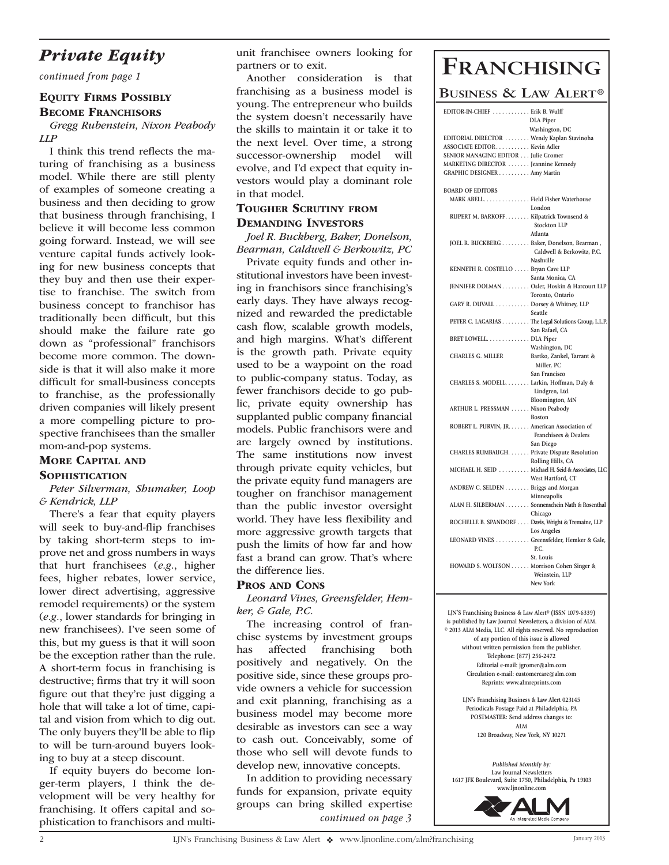### *Private Equity*

*continued from page 1*

### Equity Firms Possibly

#### **BECOME FRANCHISORS**

*Gregg Rubenstein, Nixon Peabody LLP*

I think this trend reflects the maturing of franchising as a business model. While there are still plenty of examples of someone creating a business and then deciding to grow that business through franchising, I believe it will become less common going forward. Instead, we will see venture capital funds actively looking for new business concepts that they buy and then use their expertise to franchise. The switch from business concept to franchisor has traditionally been difficult, but this should make the failure rate go down as "professional" franchisors become more common. The downside is that it will also make it more difficult for small-business concepts to franchise, as the professionally driven companies will likely present a more compelling picture to prospective franchisees than the smaller mom-and-pop systems.

### More Capital and

#### **SOPHISTICATION**

#### *Peter Silverman, Shumaker, Loop & Kendrick, LLP*

There's a fear that equity players will seek to buy-and-flip franchises by taking short-term steps to improve net and gross numbers in ways that hurt franchisees (*e.g.*, higher fees, higher rebates, lower service, lower direct advertising, aggressive remodel requirements) or the system (*e.g.*, lower standards for bringing in new franchisees). I've seen some of this, but my guess is that it will soon be the exception rather than the rule. A short-term focus in franchising is destructive; firms that try it will soon figure out that they're just digging a hole that will take a lot of time, capital and vision from which to dig out. The only buyers they'll be able to flip to will be turn-around buyers looking to buy at a steep discount.

If equity buyers do become longer-term players, I think the development will be very healthy for franchising. It offers capital and sophistication to franchisors and multiunit franchisee owners looking for partners or to exit.

Another consideration is that franchising as a business model is young. The entrepreneur who builds the system doesn't necessarily have the skills to maintain it or take it to the next level. Over time, a strong successor-ownership model will evolve, and I'd expect that equity investors would play a dominant role in that model.

#### Tougher Scrutiny from Demanding Investors

*Joel R. Buckberg, Baker, Donelson, Bearman, Caldwell & Berkowitz, PC*

Private equity funds and other institutional investors have been investing in franchisors since franchising's early days. They have always recognized and rewarded the predictable cash flow, scalable growth models, and high margins. What's different is the growth path. Private equity used to be a waypoint on the road to public-company status. Today, as fewer franchisors decide to go public, private equity ownership has supplanted public company financial models. Public franchisors were and are largely owned by institutions. The same institutions now invest through private equity vehicles, but the private equity fund managers are tougher on franchisor management than the public investor oversight world. They have less flexibility and more aggressive growth targets that push the limits of how far and how fast a brand can grow. That's where the difference lies.

#### Pros and Cons

*Leonard Vines, Greensfelder, Hemker, & Gale, P.C.*

The increasing control of franchise systems by investment groups has affected franchising both positively and negatively. On the positive side, since these groups provide owners a vehicle for succession and exit planning, franchising as a business model may become more desirable as investors can see a way to cash out. Conceivably, some of those who sell will devote funds to develop new, innovative concepts.

In addition to providing necessary funds for expansion, private equity groups can bring skilled expertise *continued on page 3*

# **Franchising**

#### **Business & Law Alert®**

| EDITOR-IN-CHIEF  Erik B. Wulff                           |                            |
|----------------------------------------------------------|----------------------------|
|                                                          | <b>DLA</b> Piper           |
|                                                          | Washington, DC             |
| EDITORIAL DIRECTOR  Wendy Kaplan Stavinoha               |                            |
| ASSOCIATE EDITOR Kevin Adler                             |                            |
| SENIOR MANAGING EDITOR Julie Gromer                      |                            |
| MARKETING DIRECTOR Jeannine Kennedy                      |                            |
| GRAPHIC DESIGNER Amy Martin                              |                            |
|                                                          |                            |
| <b>BOARD OF EDITORS</b>                                  |                            |
| MARK ABELL. Field Fisher Waterhouse                      |                            |
|                                                          | London                     |
| RUPERT M. BARKOFF. Kilpatrick Townsend &                 |                            |
|                                                          | <b>Stockton LLP</b>        |
|                                                          |                            |
|                                                          | Atlanta                    |
| JOEL R. BUCKBERG Baker, Donelson, Bearman,               |                            |
|                                                          | Caldwell & Berkowitz, P.C. |
|                                                          | Nashville                  |
| KENNETH R. COSTELLO  Bryan Cave LLP                      |                            |
|                                                          | Santa Monica, CA           |
| JENNIFER DOLMAN Osler, Hoskin & Harcourt LLP             |                            |
|                                                          | Toronto, Ontario           |
| Ioronto, Ontario<br>GARY R. DUVALL Dorsey & Whitney, LLP |                            |
|                                                          | Seattle                    |
| PETER C. LAGARIAS The Legal Solutions Group, L.L.P.      |                            |
|                                                          | San Rafael, CA             |
| BRET LOWELL. DLA Piper                                   |                            |
|                                                          |                            |
|                                                          | Washington, DC             |
| <b>CHARLES G. MILLER</b>                                 | Bartko, Zankel, Tarrant &  |
|                                                          | Miller, PC                 |
|                                                          | San Francisco              |
| CHARLES S. MODELL. Larkin, Hoffman, Daly &               |                            |
|                                                          | Lindgren, Ltd.             |
|                                                          | Bloomington, MN            |
| ARTHUR L. PRESSMAN Nixon Peabody                         |                            |
|                                                          | Boston                     |
| ROBERT L. PURVIN, JR. American Association of            |                            |
|                                                          | Franchisees & Dealers      |
|                                                          | San Diego                  |
| CHARLES RUMBAUGH. Private Dispute Resolution             |                            |
|                                                          | Rolling Hills, CA          |
| MICHAEL H. SEID Michael H. Seid & Associates, LLC        |                            |
|                                                          |                            |
|                                                          | West Hartford, CT          |
| ANDREW C. SELDEN Briggs and Morgan                       |                            |
|                                                          | Minneapolis                |
| ALAN H. SILBERMAN Sonnenschein Nath & Rosenthal          |                            |
|                                                          | Chicago                    |
| ROCHELLE B. SPANDORF Davis, Wright & Tremaine, LLP       |                            |
|                                                          | Los Angeles                |
| LEONARD VINES Greensfelder, Hemker & Gale,               |                            |
|                                                          | P.C.                       |
|                                                          | St. Louis                  |
| HOWARD S. WOLFSON  Morrison Cohen Singer &               |                            |
|                                                          | Weinstein, LLP             |
|                                                          | New York                   |
|                                                          |                            |

**LJN'S Franchising Business & Law Alert® (ISSN 1079-6339) is published by Law Journal Newsletters, a division of ALM. © 2013 ALM Media, LLC. All rights reserved. No reproduction of any portion of this issue is allowed without written permission from the publisher. Telephone: (877) 256-2472 Editorial e-mail: jgromer@alm.com Circulation e-mail: customercare@alm.com Reprints: www.almreprints.com**

> **LJN's Franchising Business & Law Alert 023145 Periodicals Postage Paid at Philadelphia, PA POSTMASTER: Send address changes to: ALM 120 Broadway, New York, NY 10271**

*Published Monthly by:* **Law Journal Newsletters 1617 JFK Boulevard, Suite 1750, Philadelphia, Pa 19103 www.ljnonline.com**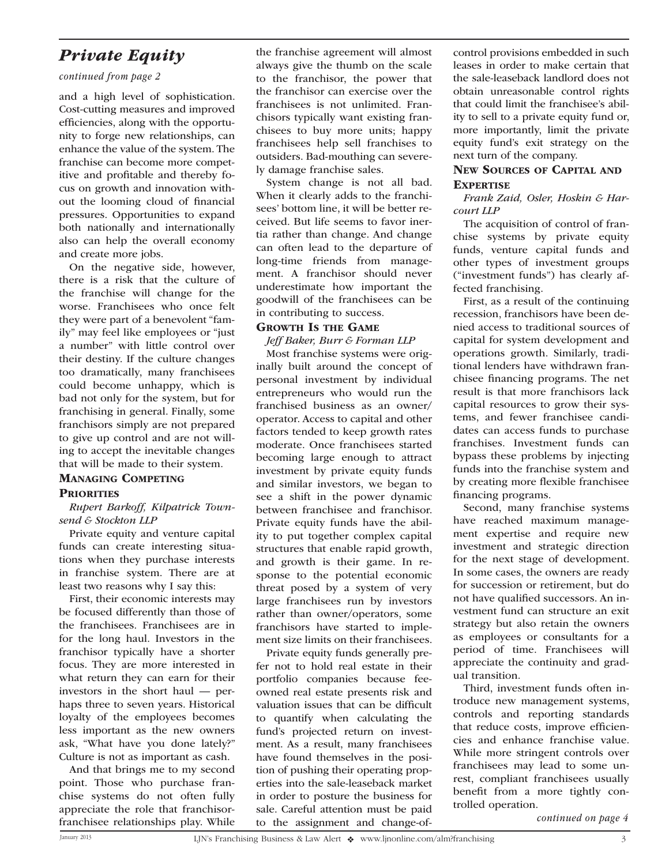### *Private Equity*

#### *continued from page 2*

and a high level of sophistication. Cost-cutting measures and improved efficiencies, along with the opportunity to forge new relationships, can enhance the value of the system. The franchise can become more competitive and profitable and thereby focus on growth and innovation without the looming cloud of financial pressures. Opportunities to expand both nationally and internationally also can help the overall economy and create more jobs.

On the negative side, however, there is a risk that the culture of the franchise will change for the worse. Franchisees who once felt they were part of a benevolent "family" may feel like employees or "just a number" with little control over their destiny. If the culture changes too dramatically, many franchisees could become unhappy, which is bad not only for the system, but for franchising in general. Finally, some franchisors simply are not prepared to give up control and are not willing to accept the inevitable changes that will be made to their system.

#### Managing Competing

#### **PRIORITIES**

*Rupert Barkoff, Kilpatrick Townsend & Stockton LLP*

Private equity and venture capital funds can create interesting situations when they purchase interests in franchise system. There are at least two reasons why I say this:

First, their economic interests may be focused differently than those of the franchisees. Franchisees are in for the long haul. Investors in the franchisor typically have a shorter focus. They are more interested in what return they can earn for their investors in the short haul — perhaps three to seven years. Historical loyalty of the employees becomes less important as the new owners ask, "What have you done lately?" Culture is not as important as cash.

And that brings me to my second point. Those who purchase franchise systems do not often fully appreciate the role that franchisorfranchisee relationships play. While the franchise agreement will almost always give the thumb on the scale to the franchisor, the power that the franchisor can exercise over the franchisees is not unlimited. Franchisors typically want existing franchisees to buy more units; happy franchisees help sell franchises to outsiders. Bad-mouthing can severely damage franchise sales.

System change is not all bad. When it clearly adds to the franchisees' bottom line, it will be better received. But life seems to favor inertia rather than change. And change can often lead to the departure of long-time friends from management. A franchisor should never underestimate how important the goodwill of the franchisees can be in contributing to success.

#### Growth Is the Game

*Jeff Baker, Burr & Forman LLP*

Most franchise systems were originally built around the concept of personal investment by individual entrepreneurs who would run the franchised business as an owner/ operator. Access to capital and other factors tended to keep growth rates moderate. Once franchisees started becoming large enough to attract investment by private equity funds and similar investors, we began to see a shift in the power dynamic between franchisee and franchisor. Private equity funds have the ability to put together complex capital structures that enable rapid growth, and growth is their game. In response to the potential economic threat posed by a system of very large franchisees run by investors rather than owner/operators, some franchisors have started to implement size limits on their franchisees.

Private equity funds generally prefer not to hold real estate in their portfolio companies because feeowned real estate presents risk and valuation issues that can be difficult to quantify when calculating the fund's projected return on investment. As a result, many franchisees have found themselves in the position of pushing their operating properties into the sale-leaseback market in order to posture the business for sale. Careful attention must be paid to the assignment and change-ofcontrol provisions embedded in such leases in order to make certain that the sale-leaseback landlord does not obtain unreasonable control rights that could limit the franchisee's ability to sell to a private equity fund or, more importantly, limit the private equity fund's exit strategy on the next turn of the company.

#### New Sources of Capital and **EXPERTISE**

*Frank Zaid, Osler, Hoskin & Harcourt LLP*

The acquisition of control of franchise systems by private equity funds, venture capital funds and other types of investment groups ("investment funds") has clearly affected franchising.

First, as a result of the continuing recession, franchisors have been denied access to traditional sources of capital for system development and operations growth. Similarly, traditional lenders have withdrawn franchisee financing programs. The net result is that more franchisors lack capital resources to grow their systems, and fewer franchisee candidates can access funds to purchase franchises. Investment funds can bypass these problems by injecting funds into the franchise system and by creating more flexible franchisee financing programs.

Second, many franchise systems have reached maximum management expertise and require new investment and strategic direction for the next stage of development. In some cases, the owners are ready for succession or retirement, but do not have qualified successors. An investment fund can structure an exit strategy but also retain the owners as employees or consultants for a period of time. Franchisees will appreciate the continuity and gradual transition.

Third, investment funds often introduce new management systems, controls and reporting standards that reduce costs, improve efficiencies and enhance franchise value. While more stringent controls over franchisees may lead to some unrest, compliant franchisees usually benefit from a more tightly controlled operation.

*continued on page 4*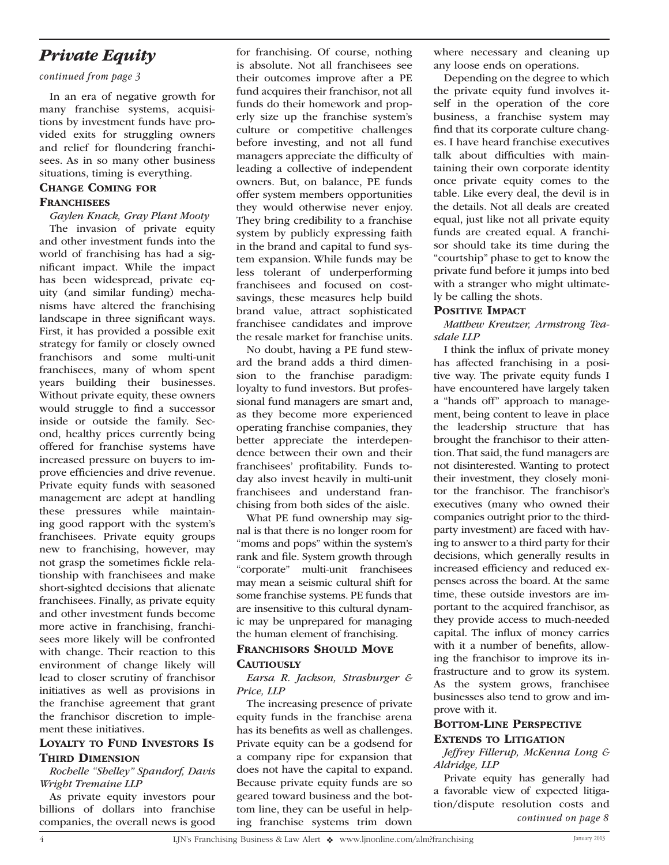### *Private Equity*

*continued from page 3*

In an era of negative growth for many franchise systems, acquisitions by investment funds have provided exits for struggling owners and relief for floundering franchisees. As in so many other business situations, timing is everything.

#### Change Coming for **FRANCHISEES**

*Gaylen Knack, Gray Plant Mooty* The invasion of private equity and other investment funds into the world of franchising has had a significant impact. While the impact has been widespread, private equity (and similar funding) mechanisms have altered the franchising landscape in three significant ways. First, it has provided a possible exit strategy for family or closely owned franchisors and some multi-unit franchisees, many of whom spent years building their businesses. Without private equity, these owners would struggle to find a successor inside or outside the family. Second, healthy prices currently being offered for franchise systems have increased pressure on buyers to improve efficiencies and drive revenue. Private equity funds with seasoned management are adept at handling these pressures while maintaining good rapport with the system's franchisees. Private equity groups new to franchising, however, may not grasp the sometimes fickle relationship with franchisees and make short-sighted decisions that alienate franchisees. Finally, as private equity and other investment funds become more active in franchising, franchisees more likely will be confronted with change. Their reaction to this environment of change likely will lead to closer scrutiny of franchisor initiatives as well as provisions in the franchise agreement that grant the franchisor discretion to implement these initiatives.

#### Loyalty to Fund Investors Is **THIRD DIMENSION**

#### *Rochelle "Shelley" Spandorf, Davis Wright Tremaine LLP*

As private equity investors pour billions of dollars into franchise companies, the overall news is good for franchising. Of course, nothing is absolute. Not all franchisees see their outcomes improve after a PE fund acquires their franchisor, not all funds do their homework and properly size up the franchise system's culture or competitive challenges before investing, and not all fund managers appreciate the difficulty of leading a collective of independent owners. But, on balance, PE funds offer system members opportunities they would otherwise never enjoy. They bring credibility to a franchise system by publicly expressing faith in the brand and capital to fund system expansion. While funds may be less tolerant of underperforming franchisees and focused on costsavings, these measures help build brand value, attract sophisticated franchisee candidates and improve the resale market for franchise units.

No doubt, having a PE fund steward the brand adds a third dimension to the franchise paradigm: loyalty to fund investors. But professional fund managers are smart and, as they become more experienced operating franchise companies, they better appreciate the interdependence between their own and their franchisees' profitability. Funds today also invest heavily in multi-unit franchisees and understand franchising from both sides of the aisle.

What PE fund ownership may signal is that there is no longer room for "moms and pops" within the system's rank and file. System growth through "corporate" multi-unit franchisees may mean a seismic cultural shift for some franchise systems. PE funds that are insensitive to this cultural dynamic may be unprepared for managing the human element of franchising.

#### FRANCHISORS SHOULD MOVE

#### **CAUTIOUSLY**

*Earsa R. Jackson, Strasburger & Price, LLP*

The increasing presence of private equity funds in the franchise arena has its benefits as well as challenges. Private equity can be a godsend for a company ripe for expansion that does not have the capital to expand. Because private equity funds are so geared toward business and the bottom line, they can be useful in helping franchise systems trim down

where necessary and cleaning up any loose ends on operations.

Depending on the degree to which the private equity fund involves itself in the operation of the core business, a franchise system may find that its corporate culture changes. I have heard franchise executives talk about difficulties with maintaining their own corporate identity once private equity comes to the table. Like every deal, the devil is in the details. Not all deals are created equal, just like not all private equity funds are created equal. A franchisor should take its time during the "courtship" phase to get to know the private fund before it jumps into bed with a stranger who might ultimately be calling the shots.

#### POSITIVE IMPACT

*Matthew Kreutzer, Armstrong Teasdale LLP*

I think the influx of private money has affected franchising in a positive way. The private equity funds I have encountered have largely taken a "hands off" approach to management, being content to leave in place the leadership structure that has brought the franchisor to their attention. That said, the fund managers are not disinterested. Wanting to protect their investment, they closely monitor the franchisor. The franchisor's executives (many who owned their companies outright prior to the thirdparty investment) are faced with having to answer to a third party for their decisions, which generally results in increased efficiency and reduced expenses across the board. At the same time, these outside investors are important to the acquired franchisor, as they provide access to much-needed capital. The influx of money carries with it a number of benefits, allowing the franchisor to improve its infrastructure and to grow its system. As the system grows, franchisee businesses also tend to grow and improve with it.

#### Bottom-Line Perspective Extends to Litigation

*Jeffrey Fillerup, McKenna Long & Aldridge, LLP*

Private equity has generally had a favorable view of expected litigation/dispute resolution costs and *continued on page 8*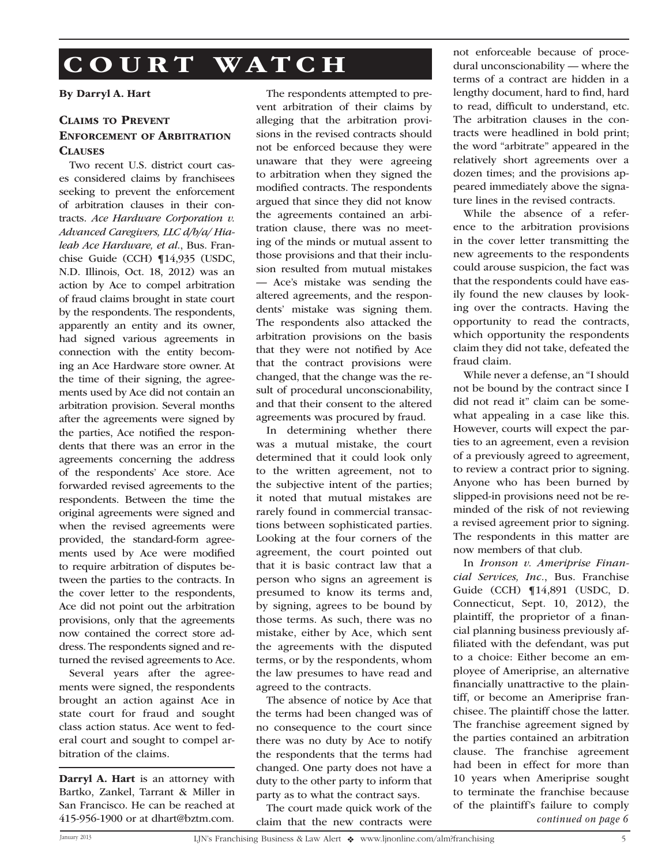# COURT WATCH

#### By Darryl A. Hart

#### Claims to Prevent Enforcement of Arbitration **CLAUSES**

Two recent U.S. district court cases considered claims by franchisees seeking to prevent the enforcement of arbitration clauses in their contracts. *Ace Hardware Corporation v. Advanced Caregivers, LLC d/b/a/ Hialeah Ace Hardware, et al.*, Bus. Franchise Guide (CCH) ¶14,935 (USDC, N.D. Illinois, Oct. 18, 2012) was an action by Ace to compel arbitration of fraud claims brought in state court by the respondents. The respondents, apparently an entity and its owner, had signed various agreements in connection with the entity becoming an Ace Hardware store owner. At the time of their signing, the agreements used by Ace did not contain an arbitration provision. Several months after the agreements were signed by the parties, Ace notified the respondents that there was an error in the agreements concerning the address of the respondents' Ace store. Ace forwarded revised agreements to the respondents. Between the time the original agreements were signed and when the revised agreements were provided, the standard-form agreements used by Ace were modified to require arbitration of disputes between the parties to the contracts. In the cover letter to the respondents, Ace did not point out the arbitration provisions, only that the agreements now contained the correct store address. The respondents signed and returned the revised agreements to Ace.

Several years after the agreements were signed, the respondents brought an action against Ace in state court for fraud and sought class action status. Ace went to federal court and sought to compel arbitration of the claims.

Darryl A. Hart is an attorney with Bartko, Zankel, Tarrant & Miller in San Francisco. He can be reached at

The respondents attempted to prevent arbitration of their claims by alleging that the arbitration provisions in the revised contracts should not be enforced because they were unaware that they were agreeing to arbitration when they signed the modified contracts. The respondents argued that since they did not know the agreements contained an arbitration clause, there was no meeting of the minds or mutual assent to those provisions and that their inclusion resulted from mutual mistakes — Ace's mistake was sending the altered agreements, and the respondents' mistake was signing them. The respondents also attacked the arbitration provisions on the basis that they were not notified by Ace that the contract provisions were changed, that the change was the result of procedural unconscionability, and that their consent to the altered agreements was procured by fraud.

In determining whether there was a mutual mistake, the court determined that it could look only to the written agreement, not to the subjective intent of the parties; it noted that mutual mistakes are rarely found in commercial transactions between sophisticated parties. Looking at the four corners of the agreement, the court pointed out that it is basic contract law that a person who signs an agreement is presumed to know its terms and, by signing, agrees to be bound by those terms. As such, there was no mistake, either by Ace, which sent the agreements with the disputed terms, or by the respondents, whom the law presumes to have read and agreed to the contracts.

The absence of notice by Ace that the terms had been changed was of no consequence to the court since there was no duty by Ace to notify the respondents that the terms had changed. One party does not have a duty to the other party to inform that party as to what the contract says.

The court made quick work of the claim that the new contracts were 415-956-1900 or at dhart@bztm.com. *continued on page 6*

not enforceable because of procedural unconscionability — where the terms of a contract are hidden in a lengthy document, hard to find, hard to read, difficult to understand, etc. The arbitration clauses in the contracts were headlined in bold print; the word "arbitrate" appeared in the relatively short agreements over a dozen times; and the provisions appeared immediately above the signature lines in the revised contracts.

While the absence of a reference to the arbitration provisions in the cover letter transmitting the new agreements to the respondents could arouse suspicion, the fact was that the respondents could have easily found the new clauses by looking over the contracts. Having the opportunity to read the contracts, which opportunity the respondents claim they did not take, defeated the fraud claim.

While never a defense, an "I should not be bound by the contract since I did not read it" claim can be somewhat appealing in a case like this. However, courts will expect the parties to an agreement, even a revision of a previously agreed to agreement, to review a contract prior to signing. Anyone who has been burned by slipped-in provisions need not be reminded of the risk of not reviewing a revised agreement prior to signing. The respondents in this matter are now members of that club.

In *Ironson v. Ameriprise Financial Services, Inc.*, Bus. Franchise Guide (CCH) ¶14,891 (USDC, D. Connecticut, Sept. 10, 2012), the plaintiff, the proprietor of a financial planning business previously affiliated with the defendant, was put to a choice: Either become an employee of Ameriprise, an alternative financially unattractive to the plaintiff, or become an Ameriprise franchisee. The plaintiff chose the latter. The franchise agreement signed by the parties contained an arbitration clause. The franchise agreement had been in effect for more than 10 years when Ameriprise sought to terminate the franchise because of the plaintiff's failure to comply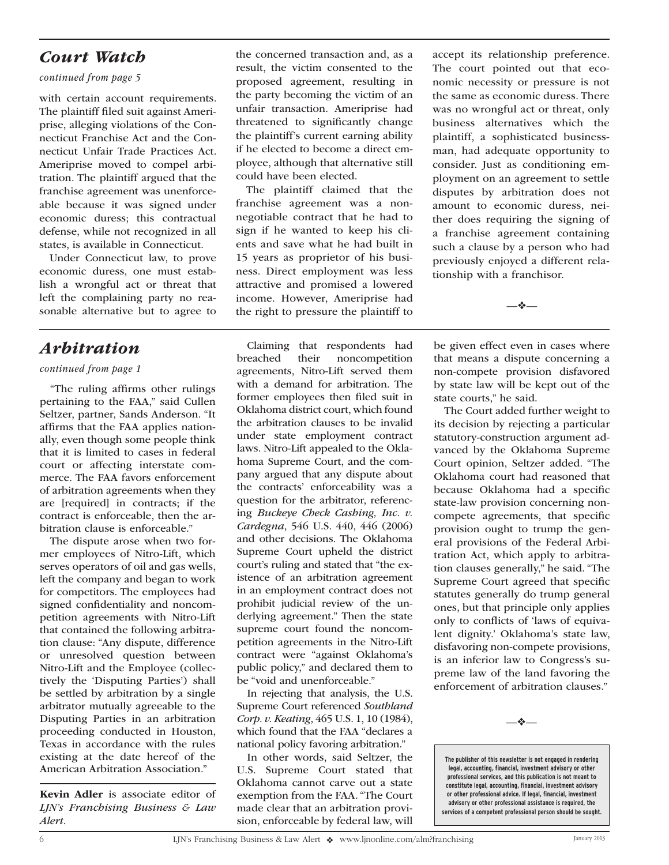### *Court Watch*

#### *continued from page 5*

with certain account requirements. The plaintiff filed suit against Ameriprise, alleging violations of the Connecticut Franchise Act and the Connecticut Unfair Trade Practices Act. Ameriprise moved to compel arbitration. The plaintiff argued that the franchise agreement was unenforceable because it was signed under economic duress; this contractual defense, while not recognized in all states, is available in Connecticut.

Under Connecticut law, to prove economic duress, one must establish a wrongful act or threat that left the complaining party no reasonable alternative but to agree to

### *Arbitration*

#### *continued from page 1*

"The ruling affirms other rulings pertaining to the FAA," said Cullen Seltzer, partner, Sands Anderson. "It affirms that the FAA applies nationally, even though some people think that it is limited to cases in federal court or affecting interstate commerce. The FAA favors enforcement of arbitration agreements when they are [required] in contracts; if the contract is enforceable, then the arbitration clause is enforceable."

The dispute arose when two former employees of Nitro-Lift, which serves operators of oil and gas wells, left the company and began to work for competitors. The employees had signed confidentiality and noncompetition agreements with Nitro-Lift that contained the following arbitration clause: "Any dispute, difference or unresolved question between Nitro-Lift and the Employee (collectively the 'Disputing Parties') shall be settled by arbitration by a single arbitrator mutually agreeable to the Disputing Parties in an arbitration proceeding conducted in Houston, Texas in accordance with the rules existing at the date hereof of the American Arbitration Association."

Kevin Adler is associate editor of *LJN's Franchising Business & Law Alert*.

the concerned transaction and, as a result, the victim consented to the proposed agreement, resulting in the party becoming the victim of an unfair transaction. Ameriprise had threatened to significantly change the plaintiff's current earning ability if he elected to become a direct employee, although that alternative still could have been elected.

The plaintiff claimed that the franchise agreement was a nonnegotiable contract that he had to sign if he wanted to keep his clients and save what he had built in 15 years as proprietor of his business. Direct employment was less attractive and promised a lowered income. However, Ameriprise had the right to pressure the plaintiff to

Claiming that respondents had breached their noncompetition agreements, Nitro-Lift served them with a demand for arbitration. The former employees then filed suit in Oklahoma district court, which found the arbitration clauses to be invalid under state employment contract laws. Nitro-Lift appealed to the Oklahoma Supreme Court, and the company argued that any dispute about the contracts' enforceability was a question for the arbitrator, referencing *Buckeye Check Cashing, Inc. v. Cardegna*, 546 U.S. 440, 446 (2006) and other decisions. The Oklahoma Supreme Court upheld the district court's ruling and stated that "the existence of an arbitration agreement in an employment contract does not prohibit judicial review of the underlying agreement." Then the state supreme court found the noncompetition agreements in the Nitro-Lift contract were "against Oklahoma's public policy," and declared them to be "void and unenforceable."

In rejecting that analysis, the U.S. Supreme Court referenced *Southland Corp. v. Keating*, 465 U.S. 1, 10 (1984), which found that the FAA "declares a national policy favoring arbitration."

In other words, said Seltzer, the U.S. Supreme Court stated that Oklahoma cannot carve out a state exemption from the FAA. "The Court made clear that an arbitration provision, enforceable by federal law, will

accept its relationship preference. The court pointed out that economic necessity or pressure is not the same as economic duress. There was no wrongful act or threat, only business alternatives which the plaintiff, a sophisticated businessman, had adequate opportunity to consider. Just as conditioning employment on an agreement to settle disputes by arbitration does not amount to economic duress, neither does requiring the signing of a franchise agreement containing such a clause by a person who had previously enjoyed a different relationship with a franchisor.

—❖—

be given effect even in cases where that means a dispute concerning a non-compete provision disfavored by state law will be kept out of the state courts," he said.

The Court added further weight to its decision by rejecting a particular statutory-construction argument advanced by the Oklahoma Supreme Court opinion, Seltzer added. "The Oklahoma court had reasoned that because Oklahoma had a specific state-law provision concerning noncompete agreements, that specific provision ought to trump the general provisions of the Federal Arbitration Act, which apply to arbitration clauses generally," he said. "The Supreme Court agreed that specific statutes generally do trump general ones, but that principle only applies only to conflicts of 'laws of equivalent dignity.' Oklahoma's state law, disfavoring non-compete provisions, is an inferior law to Congress's supreme law of the land favoring the enforcement of arbitration clauses."

—❖—

**The publisher of this newsletter is not engaged in rendering legal, accounting, financial, investment advisory or other professional services, and this publication is not meant to constitute legal, accounting, financial, investment advisory or other professional advice. If legal, financial, investment advisory or other professional assistance is required, the services of a competent professional person should be sought.**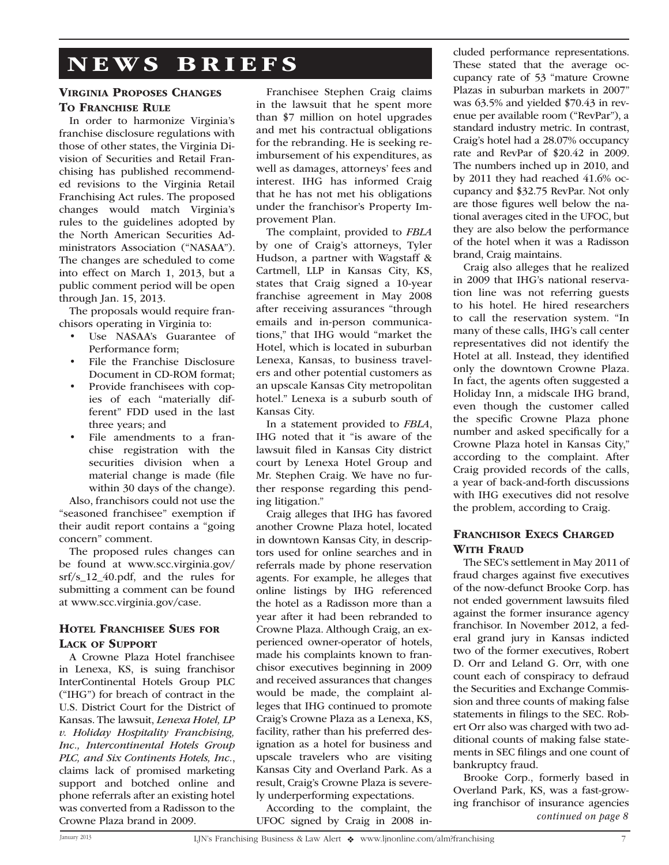## NEWS BRIEFS

#### Virginia Proposes Changes TO FRANCHISE RULE

In order to harmonize Virginia's franchise disclosure regulations with those of other states, the Virginia Division of Securities and Retail Franchising has published recommended revisions to the Virginia Retail Franchising Act rules. The proposed changes would match Virginia's rules to the guidelines adopted by the North American Securities Administrators Association ("NASAA"). The changes are scheduled to come into effect on March 1, 2013, but a public comment period will be open through Jan. 15, 2013.

The proposals would require franchisors operating in Virginia to:

- Use NASAA's Guarantee of Performance form;
- File the Franchise Disclosure Document in CD-ROM format;
- Provide franchisees with copies of each "materially different" FDD used in the last three years; and
- File amendments to a franchise registration with the securities division when a material change is made (file within 30 days of the change).

Also, franchisors could not use the "seasoned franchisee" exemption if their audit report contains a "going concern" comment.

The proposed rules changes can be found at www.scc.virginia.gov/ srf/s\_12\_40.pdf, and the rules for submitting a comment can be found at www.scc.virginia.gov/case.

#### HOTEL FRANCHISEE SUES FOR Lack of Support

A Crowne Plaza Hotel franchisee in Lenexa, KS, is suing franchisor InterContinental Hotels Group PLC ("IHG") for breach of contract in the U.S. District Court for the District of Kansas. The lawsuit, *Lenexa Hotel, LP v. Holiday Hospitality Franchising, Inc., Intercontinental Hotels Group PLC, and Six Continents Hotels, Inc.*, claims lack of promised marketing support and botched online and phone referrals after an existing hotel was converted from a Radisson to the Crowne Plaza brand in 2009.

Franchisee Stephen Craig claims in the lawsuit that he spent more than \$7 million on hotel upgrades and met his contractual obligations for the rebranding. He is seeking reimbursement of his expenditures, as well as damages, attorneys' fees and interest. IHG has informed Craig that he has not met his obligations under the franchisor's Property Improvement Plan.

The complaint, provided to *FBLA* by one of Craig's attorneys, Tyler Hudson, a partner with Wagstaff & Cartmell, LLP in Kansas City, KS, states that Craig signed a 10-year franchise agreement in May 2008 after receiving assurances "through emails and in-person communications," that IHG would "market the Hotel, which is located in suburban Lenexa, Kansas, to business travelers and other potential customers as an upscale Kansas City metropolitan hotel." Lenexa is a suburb south of Kansas City.

In a statement provided to *FBLA*, IHG noted that it "is aware of the lawsuit filed in Kansas City district court by Lenexa Hotel Group and Mr. Stephen Craig. We have no further response regarding this pending litigation."

Craig alleges that IHG has favored another Crowne Plaza hotel, located in downtown Kansas City, in descriptors used for online searches and in referrals made by phone reservation agents. For example, he alleges that online listings by IHG referenced the hotel as a Radisson more than a year after it had been rebranded to Crowne Plaza. Although Craig, an experienced owner-operator of hotels, made his complaints known to franchisor executives beginning in 2009 and received assurances that changes would be made, the complaint alleges that IHG continued to promote Craig's Crowne Plaza as a Lenexa, KS, facility, rather than his preferred designation as a hotel for business and upscale travelers who are visiting Kansas City and Overland Park. As a result, Craig's Crowne Plaza is severely underperforming expectations.

According to the complaint, the UFOC signed by Craig in 2008 included performance representations. These stated that the average occupancy rate of 53 "mature Crowne Plazas in suburban markets in 2007" was 63.5% and yielded \$70.43 in revenue per available room ("RevPar"), a standard industry metric. In contrast, Craig's hotel had a 28.07% occupancy rate and RevPar of \$20.42 in 2009. The numbers inched up in 2010, and by 2011 they had reached 41.6% occupancy and \$32.75 RevPar. Not only are those figures well below the national averages cited in the UFOC, but they are also below the performance of the hotel when it was a Radisson brand, Craig maintains.

Craig also alleges that he realized in 2009 that IHG's national reservation line was not referring guests to his hotel. He hired researchers to call the reservation system. "In many of these calls, IHG's call center representatives did not identify the Hotel at all. Instead, they identified only the downtown Crowne Plaza. In fact, the agents often suggested a Holiday Inn, a midscale IHG brand, even though the customer called the specific Crowne Plaza phone number and asked specifically for a Crowne Plaza hotel in Kansas City," according to the complaint. After Craig provided records of the calls, a year of back-and-forth discussions with IHG executives did not resolve the problem, according to Craig.

#### FRANCHISOR EXECS CHARGED With Fraud

The SEC's settlement in May 2011 of fraud charges against five executives of the now-defunct Brooke Corp. has not ended government lawsuits filed against the former insurance agency franchisor. In November 2012, a federal grand jury in Kansas indicted two of the former executives, Robert D. Orr and Leland G. Orr, with one count each of conspiracy to defraud the Securities and Exchange Commission and three counts of making false statements in filings to the SEC. Robert Orr also was charged with two additional counts of making false statements in SEC filings and one count of bankruptcy fraud.

Brooke Corp., formerly based in Overland Park, KS, was a fast-growing franchisor of insurance agencies *continued on page 8*